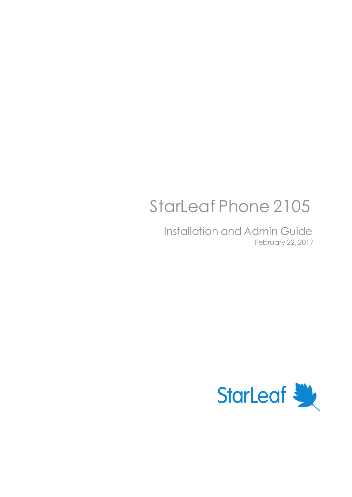# StarLeaf Phone 2105

Installation and Admin Guide February 22, 2017

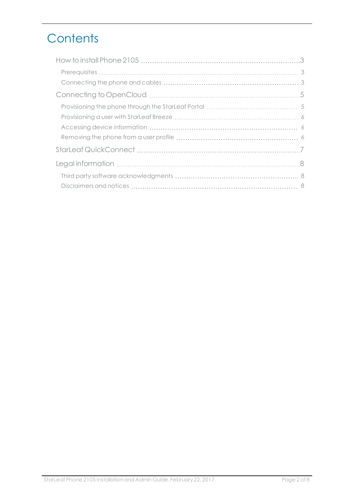# **Contents**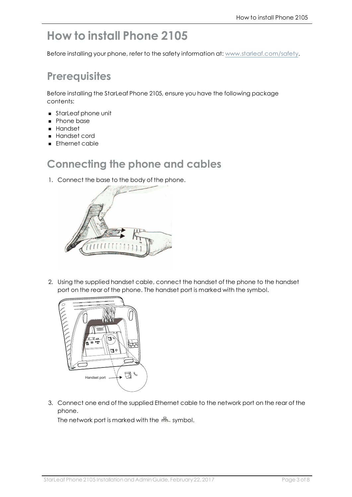# <span id="page-2-0"></span>**How to install Phone 2105**

<span id="page-2-1"></span>Before installing your phone, refer to the safety information at: [www.starleaf.com/safety.](https://www.starleaf.com/safety)

#### **Prerequisites**

Before installing the StarLeaf Phone 2105, ensure you have the following package contents:

- **starLeaf phone unit**
- Phone base
- <sup>n</sup> Handset
- **Handset cord**
- <span id="page-2-2"></span>**n** Ethernet cable

#### **Connecting the phone and cables**

1. Connect the base to the body of the phone.



2. Using the supplied handset cable, connect the handset of the phone to the handset port on the rear of the phone. The handset port is marked with the symbol.



3. Connect one end of the supplied Ethernet cable to the network port on the rear of the phone.

The network port is marked with the  $\frac{1}{n}$  symbol.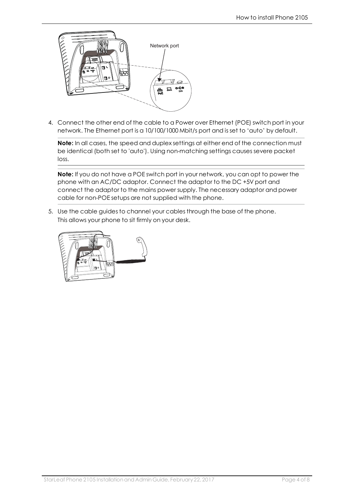

4. Connect the other end of the cable to a Power over Ethernet (POE) switch port in your network. The Ethernet port is a 10/100/1000 Mbit/s port and is set to 'auto' by default.

**Note:** In all cases, the speed and duplex settings at either end of the connection must be identical (both set to 'auto'). Using non-matching settings causes severe packet loss.

**Note:** If you do not have a POE switch port in your network, you can opt to power the phone with an AC/DC adaptor. Connect the adaptor to the DC +5V port and connect the adaptor to the mains power supply. The necessary adaptor and power cable for non-POE setups are not supplied with the phone.

5. Use the cable guides to channel your cables through the base of the phone. This allows your phone to sit firmly on your desk.

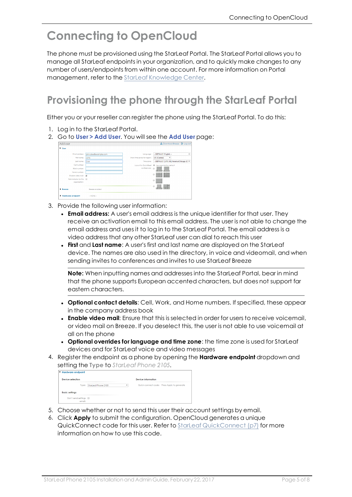## <span id="page-4-0"></span>**Connecting to OpenCloud**

The phone must be provisioned using the StarLeaf Portal. The StarLeaf Portal allows you to manage all StarLeaf endpoints in your organization, and to quickly make changes to any number of users/endpoints from within one account. For more information on Portal management, refer to the StarLeaf [Knowledge](https://support.starleaf.com/) Center.

## <span id="page-4-1"></span>**Provisioning the phone through the StarLeaf Portal**

Either you or your reseller can register the phone using the StarLeaf Portal. To do this:

- 1. Log in to the StarLeaf Portal.
- 2. Go to **User > Add User**. You will see the **Add User** page:

| john.doe@example.com | Language:<br>Show time zones for region:<br>Time zone:<br>conferences: @ | - DEFAULT: English -<br>٠<br><b>US</b> (Central)<br>۰<br>- DEFAULT: [UTC-06] America/Chicago (C) =<br>Layout for QuickMeet <sup>@</sup> Use organization default |
|----------------------|--------------------------------------------------------------------------|------------------------------------------------------------------------------------------------------------------------------------------------------------------|
|                      |                                                                          |                                                                                                                                                                  |
|                      |                                                                          |                                                                                                                                                                  |
|                      |                                                                          |                                                                                                                                                                  |
|                      |                                                                          |                                                                                                                                                                  |
|                      |                                                                          |                                                                                                                                                                  |
|                      |                                                                          |                                                                                                                                                                  |
|                      |                                                                          | <b><i><u>STERNESS</u></i></b>                                                                                                                                    |
|                      |                                                                          | --<br>$\odot$                                                                                                                                                    |
|                      |                                                                          | $\odot$                                                                                                                                                          |
| Breeze enabled       |                                                                          | $\odot$                                                                                                                                                          |
|                      | $-$ NONE $-$                                                             |                                                                                                                                                                  |

- 3. Provide the following user information:
	- **Email address:** A user's email address is the unique identifier for that user. They receive an activation email to this email address. The user is not able to change the email address and uses it to log in to the StarLeaf Portal. The email address is a video address that any other StarLeaf user can dial to reach this user
	- <sup>l</sup> **First** and **Last name**: A user's first and last name are displayed on the StarLeaf device. The names are also used in the directory, in voice and videomail, and when sending invites to conferences and invites to use StarLeaf Breeze

**Note:** When inputting names and addresses into the StarLeaf Portal, bear in mind that the phone supports European accented characters, but does not support far eastern characters.

- <sup>l</sup> **Optional contact details**: Cell, Work, and Home numbers. If specified, these appear in the company address book
- <sup>l</sup> **Enable video mail**: Ensure that this is selected in order for users to receive voicemail, or video mail on Breeze. If you deselect this, the user is not able to use voicemail at all on the phone
- <sup>l</sup> **Optional overrides for language and time zone**: the time zone is used for StarLeaf devices and for StarLeaf voice and video messages
- 4. Register the endpoint as a phone by opening the **Hardware endpoint** dropdown and setting the **Type** to *StarLeaf Phone 2105*.

| Hardware endpoint       |        |                     |                    |  |                                             |
|-------------------------|--------|---------------------|--------------------|--|---------------------------------------------|
| <b>Device selection</b> |        |                     | Device information |  |                                             |
|                         | Type:  | StarLeaf Phone 2105 | ٠                  |  | Quick-connect code: Press Apply to generate |
| <b>Basic settinas</b>   |        |                     |                    |  |                                             |
| Don't send settinas a   | email: |                     |                    |  |                                             |

- 5. Choose whether or not to send this user their account settings by email.
- 6. Click **Apply** to submit the configuration. OpenCloud generates a unique QuickConnect code for this user. Refer to StarLeaf [QuickConnect](#page-6-0) (p7) for more information on how to use this code.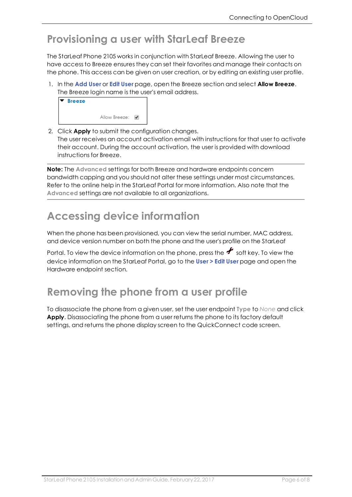#### <span id="page-5-0"></span>**Provisioning a user with StarLeaf Breeze**

The StarLeaf Phone 2105 works in conjunction with StarLeaf Breeze. Allowing the user to have access to Breeze ensures they can set their favorites and manage their contacts on the phone. This access can be given on user creation, or by editing an existing user profile.

1. In the **Add User** or **Edit User** page, open the Breeze section and select **Allow Breeze**. The Breeze login name is the user's email address.

| ▼ Breeze |               |   |
|----------|---------------|---|
|          | Allow Breeze: | ✔ |

2. Click **Apply** to submit the configuration changes. The user receives an account activation email with instructions for that user to activate their account. During the account activation, the user is provided with download instructions for Breeze.

**Note:** The **Advanced** settings for both Breeze and hardware endpoints concern bandwidth capping and you should not alter these settings under most circumstances. Refer to the online help in the StarLeaf Portal for more information. Also note that the **Advanced** settings are not available to all organizations.

## <span id="page-5-1"></span>**Accessing device information**

When the phone has been provisioned, you can view the serial number, MAC address, and device version number on both the phone and the user's profile on the StarLeaf

Portal. To view the device information on the phone, press the  $\bigstar$  soft key. To view the device information on the StarLeaf Portal, go to the **User > Edit User** page and open the Hardware endpoint section.

## <span id="page-5-2"></span>**Removing the phone from a user profile**

To disassociate the phone from a given user, set the user endpoint **Type** to *None* and click **Apply**. Disassociating the phone from a user returns the phone to its factory default settings, and returns the phone display screen to the QuickConnect code screen.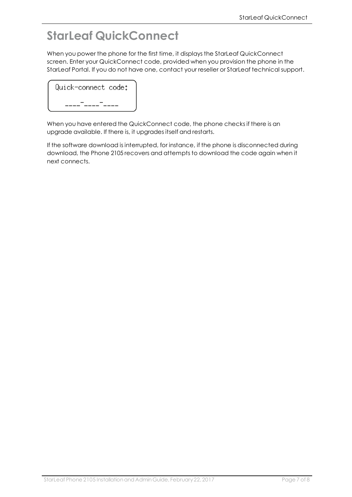## <span id="page-6-0"></span>**StarLeaf QuickConnect**

When you power the phone for the first time, it displays the StarLeaf QuickConnect screen. Enter your QuickConnect code, provided when you provision the phone in the StarLeaf Portal. If you do not have one, contact your reseller or StarLeaf technical support.

| Quick-connect code: |  |
|---------------------|--|
|                     |  |

When you have entered the QuickConnect code, the phone checks if there is an upgrade available. If there is, it upgrades itself and restarts.

If the software download is interrupted, for instance, if the phone is disconnected during download, the Phone 2105 recovers and attempts to download the code again when it next connects.